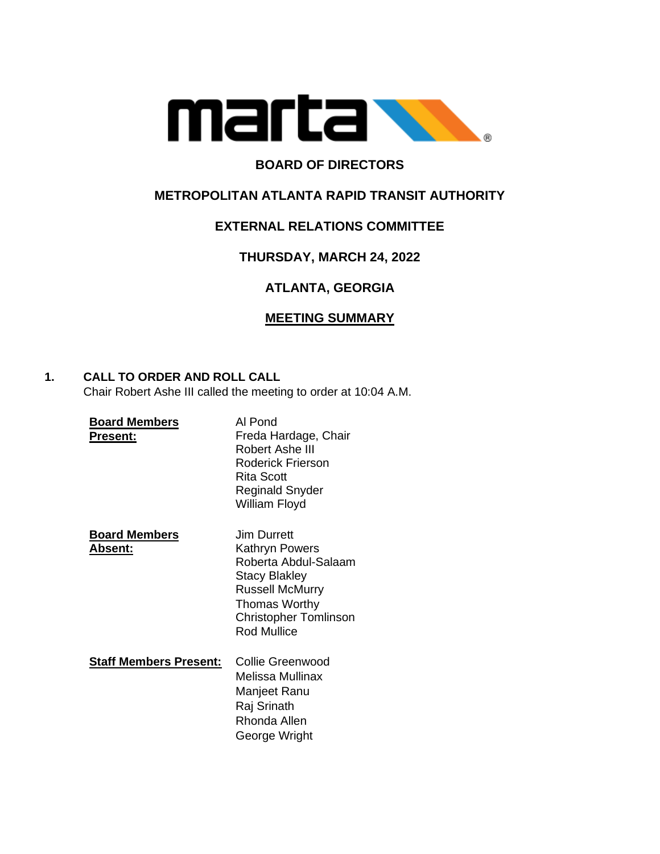

# **BOARD OF DIRECTORS**

## **METROPOLITAN ATLANTA RAPID TRANSIT AUTHORITY**

## **EXTERNAL RELATIONS COMMITTEE**

## **THURSDAY, MARCH 24, 2022**

# **ATLANTA, GEORGIA**

## **MEETING SUMMARY**

## **1. CALL TO ORDER AND ROLL CALL**

Chair Robert Ashe III called the meeting to order at 10:04 A.M.

| <b>Board Members</b><br>Present:        | Al Pond<br>Freda Hardage, Chair<br>Robert Ashe III<br><b>Roderick Frierson</b><br><b>Rita Scott</b><br>Reginald Snyder<br>William Floyd                                               |
|-----------------------------------------|---------------------------------------------------------------------------------------------------------------------------------------------------------------------------------------|
| <b>Board Members</b><br><u> Absent:</u> | Jim Durrett<br>Kathryn Powers<br>Roberta Abdul-Salaam<br><b>Stacy Blakley</b><br><b>Russell McMurry</b><br><b>Thomas Worthy</b><br><b>Christopher Tomlinson</b><br><b>Rod Mullice</b> |
| <b>Staff Members Present:</b>           | Collie Greenwood<br>Melissa Mullinax<br>Manjeet Ranu<br>Raj Srinath<br>Rhonda Allen<br>George Wright                                                                                  |